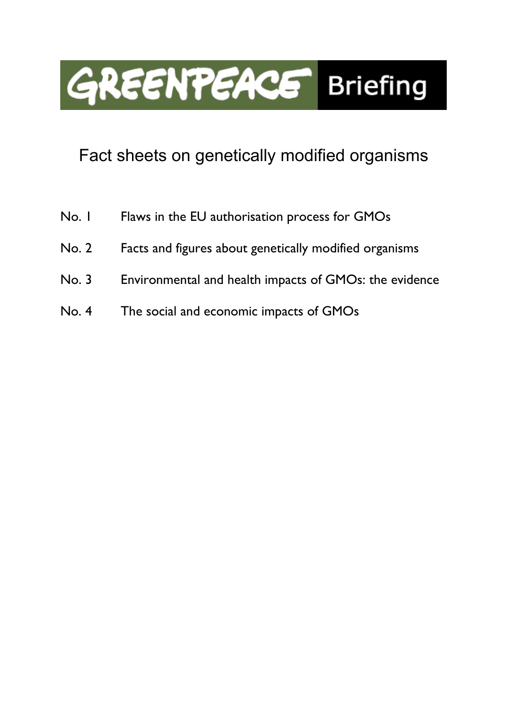

# Fact sheets on genetically modified organisms

- No. 1 Flaws in the EU authorisation process for GMOs
- No. 2 Facts and figures about genetically modified organisms
- No. 3 Environmental and health impacts of GMOs: the evidence
- No. 4 The social and economic impacts of GMOs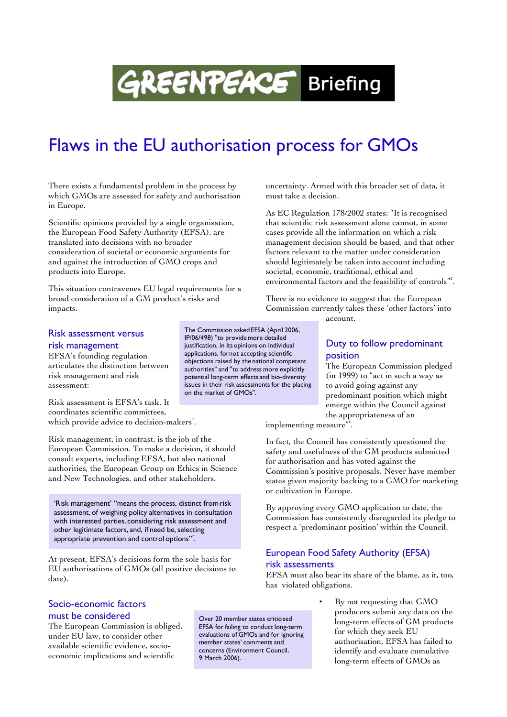# **GREENTEACE** Briefing

# Flaws in the EU authorisation process for GMOs

There exists a fundamental problem in the process by which GMOs are assessed for safety and authorisation in Europe.

Scientific opinions provided by a single organisation, the European Food Safety Authority (EFSA), are translated into decisions with no broader consideration of societal or economic arguments for and against the introduction of GMO crops and products into Europe.

This situation contravenes EU legal requirements for a broad consideration of a GM product's risks and impacts.

### Risk assessment versus risk management

EFSA's founding regulation articulates the distinction between risk management and risk assessment:

Risk assessment is EFSA's task. It coordinates scientific committees, which provide advice to decision-makers<sup>1</sup>.

Risk management, in contrast, is the job of the European Commission. To make a decision, it should consult experts, including EFSA, but also national authorities, the European Group on Ethics in Science and New Technologies, and other stakeholders.

'Risk management' "means the process, distinct from risk assessment, of weighing policy alternatives in consultation with interested parties, considering risk assessment and other legitimate factors, and, if need be, selecting appropriate prevention and control options"<sup>2</sup>.

At present, EFSA's decisions form the sole basis for EU authorisations of GMOs (all positive decisions to date).

## Socio-economic factors must be considered

The European Commission is obliged, under EU law, to consider other available scientific evidence, socioeconomic implications and scientific

The Commission asked EFSA (April 2006, IP/06/498) "to provide more detailed justification, in its opinions on individual applications, for not accepting scientific objections raised by the national competent authorities" and "to address more explicitly potential long-term effects and bio-diversity issues in their risk assessments for the placing on the market of GMOs".

uncertainty. Armed with this broader set of data, it must take a decision.

As EC Regulation 178/2002 states: "It is recognised that scientific risk assessment alone cannot, in some cases provide all the information on which a risk management decision should be based, and that other factors relevant to the matter under consideration should legitimately be taken into account including societal, economic, traditional, ethical and environmental factors and the feasibility of controls"<sup>3</sup>.

There is no evidence to suggest that the European Commission currently takes these 'other factors' into account.

### Duty to follow predominant position

The European Commission pledged (in 1999) to "act in such a way as to avoid going against any predominant position which might emerge within the Council against the appropriateness of an

implementing measure"<sup>4</sup> .

In fact, the Council has consistently questioned the safety and usefulness of the GM products submitted for authorisation and has voted against the Commission's positive proposals. Never have member states given majority backing to a GMO for marketing or cultivation in Europe.

By approving every GMO application to date, the Commission has consistently disregarded its pledge to respect a 'predominant position' within the Council.

### European Food Safety Authority (EFSA) risk assessments

EFSA must also bear its share of the blame, as it, too, has violated obligations.

> • By not requesting that GMO producers submit any data on the long-term effects of GM products for which they seek EU authorisation, EFSA has failed to identify and evaluate cumulative long-term effects of GMOs as

Over 20 member states criticised EFSA for failing to conduct long-term

evaluations of GMOs and for ignoring member states' comments and concerns (Environment Council,

9 March 2006).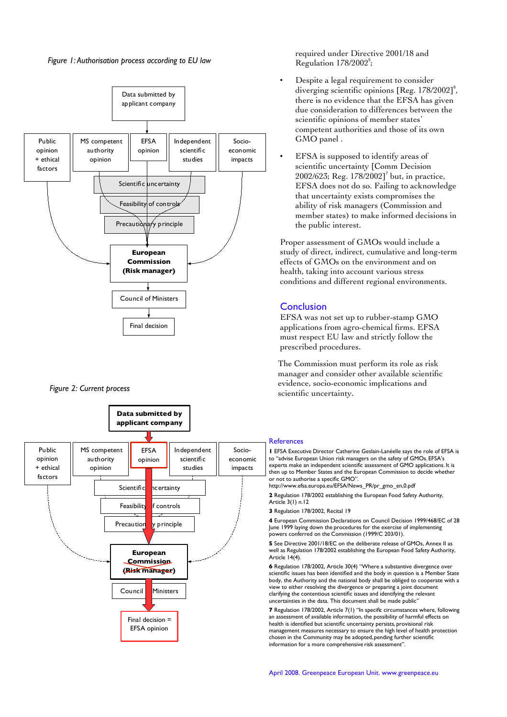*Figure 1: Authorisation process according to EU law*



*Figure 2: Current process* 



required under Directive 2001/18 and Regulation 178/2002<sup>5</sup>;

- Despite a legal requirement to consider diverging scientific opinions [Reg. 178/2002]<sup>6</sup>, there is no evidence that the EFSA has given due consideration to differences between the scientific opinions of member states' competent authorities and those of its own GMO panel .
- EFSA is supposed to identify areas of scientific uncertainty [Comm Decision  $2002/623$ ; Reg.  $178/2002$ ]<sup>7</sup> but, in practice, EFSA does not do so. Failing to acknowledge that uncertainty exists compromises the ability of risk managers (Commission and member states) to make informed decisions in the public interest.

Proper assessment of GMOs would include a study of direct, indirect, cumulative and long-term effects of GMOs on the environment and on health, taking into account various stress conditions and different regional environments.

### **Conclusion**

EFSA was not set up to rubber-stamp GMO applications from agro-chemical firms. EFSA must respect EU law and strictly follow the prescribed procedures.

The Commission must perform its role as risk manager and consider other available scientific evidence, socio-economic implications and scientific uncertainty.

#### **References**

**1** EFSA Executive Director Catherine Geslain-Lanéelle says the role of EFSA is to "advise European Union risk managers on the safety of GMOs. EFSA's experts make an independent scientific assessment of GMO applications. It is then up to Member States and the European Commission to decide whether or not to authorise a specific GMO".

http://www.efsa.europa.eu/EFSA/News\_PR/pr\_gmo\_en,0.pdf

**2** Regulation 178/2002 establishing the European Food Safety Authority, Article 3(1) n.12

**3** Regulation 178/2002, Recital 19

**4** European Commission Declarations on Council Decision 1999/468/EC of 28 June 1999 laying down the procedures for the exercise of implementing powers conferred on the Commission (1999/C 203/01).

**5** See Directive 2001/18/EC on the deliberate release of GMOs, Annex II as well as Regulation 178/2002 establishing the European Food Safety Authority, Article 14(4).

**6** Regulation 178/2002, Article 30(4) "Where a substantive divergence over scientific issues has been identified and the body in question is a Member State body, the Authority and the national body shall be obliged to cooperate with a view to either resolving the divergence or preparing a joint document clarifying the contentious scientific issues and identifying the relevant uncertainties in the data. This document shall be made public"

**7** Regulation 178/2002, Article 7(1) "In specific circumstances where, following an assessment of available information, the possibility of harmful effects on health is identified but scientific uncertainty persists, provisional risk management measures necessary to ensure the high level of health protection chosen in the Community may be adopted, pending further scientific information for a more comprehensive risk assessment".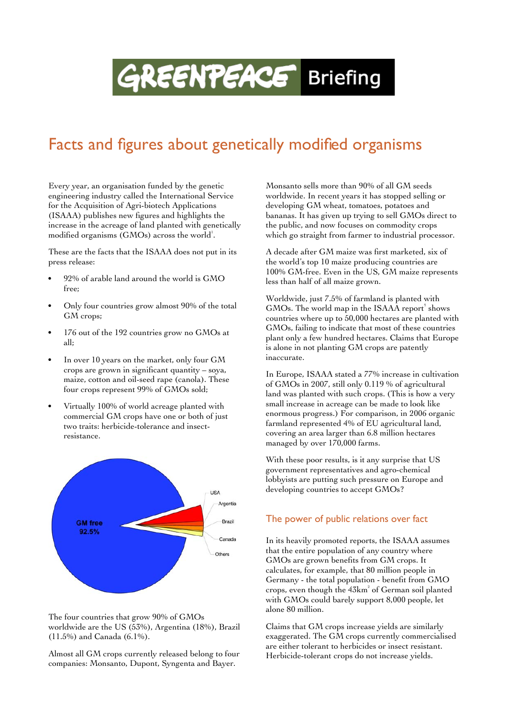# **GREENPEACE** Briefing

## Facts and figures about genetically modified organisms

Every year, an organisation funded by the genetic engineering industry called the International Service for the Acquisition of Agri-biotech Applications (ISAAA) publishes new figures and highlights the increase in the acreage of land planted with genetically modified organisms (GMOs) across the world<sup>1</sup>.

These are the facts that the ISAAA does not put in its press release:

- 92% of arable land around the world is GMO free;
- Only four countries grow almost 90% of the total GM crops;
- 176 out of the 192 countries grow no GMOs at all;
- In over 10 years on the market, only four GM crops are grown in significant quantity – soya, maize, cotton and oil-seed rape (canola). These four crops represent 99% of GMOs sold;
- Virtually 100% of world acreage planted with commercial GM crops have one or both of just two traits: herbicide-tolerance and insectresistance.



The four countries that grow 90% of GMOs worldwide are the US (53%), Argentina (18%), Brazil (11.5%) and Canada (6.1%).

Almost all GM crops currently released belong to four companies: Monsanto, Dupont, Syngenta and Bayer.

Monsanto sells more than 90% of all GM seeds worldwide. In recent years it has stopped selling or developing GM wheat, tomatoes, potatoes and bananas. It has given up trying to sell GMOs direct to the public, and now focuses on commodity crops which go straight from farmer to industrial processor.

A decade after GM maize was first marketed, six of the world's top 10 maize producing countries are 100% GM-free. Even in the US, GM maize represents less than half of all maize grown.

Worldwide, just 7.5% of farmland is planted with GMOs. The world map in the ISAAA report<sup>1</sup> shows countries where up to 50,000 hectares are planted with GMOs, failing to indicate that most of these countries plant only a few hundred hectares. Claims that Europe is alone in not planting GM crops are patently inaccurate.

In Europe, ISAAA stated a 77% increase in cultivation of GMOs in 2007, still only 0.119 % of agricultural land was planted with such crops. (This is how a very small increase in acreage can be made to look like enormous progress.) For comparison, in 2006 organic farmland represented 4% of EU agricultural land, covering an area larger than 6.8 million hectares managed by over 170,000 farms.

With these poor results, is it any surprise that US government representatives and agro-chemical lobbyists are putting such pressure on Europe and developing countries to accept GMOs?

## The power of public relations over fact

In its heavily promoted reports, the ISAAA assumes that the entire population of any country where GMOs are grown benefits from GM crops. It calculates, for example, that 80 million people in Germany - the total population - benefit from GMO crops, even though the 43km $^{\rm 2}$  of German soil planted with GMOs could barely support 8,000 people, let alone 80 million.

Claims that GM crops increase yields are similarly exaggerated. The GM crops currently commercialised are either tolerant to herbicides or insect resistant. Herbicide-tolerant crops do not increase yields.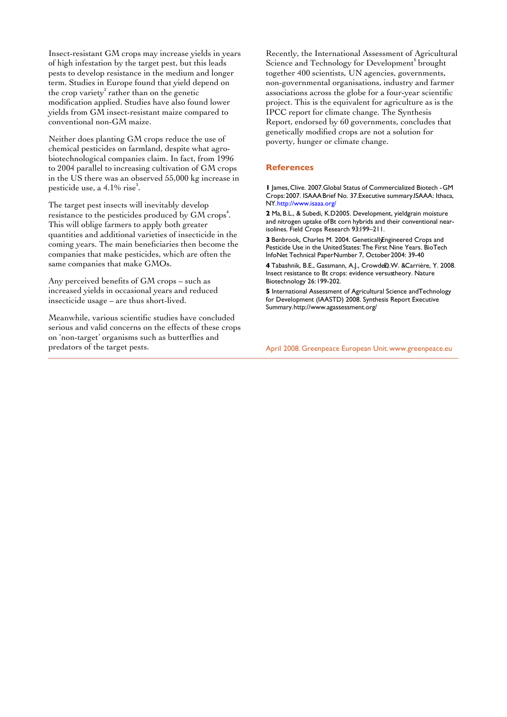Insect-resistant GM crops may increase yields in years of high infestation by the target pest, but this leads pests to develop resistance in the medium and longer term. Studies in Europe found that yield depend on the crop variety<sup>2</sup> rather than on the genetic modification applied. Studies have also found lower yields from GM insect-resistant maize compared to conventional non-GM maize.

Neither does planting GM crops reduce the use of chemical pesticides on farmland, despite what agrobiotechnological companies claim. In fact, from 1996 to 2004 parallel to increasing cultivation of GM crops in the US there was an observed 55,000 kg increase in pesticide use, a  $4.1\%$  rise<sup>3</sup>.

The target pest insects will inevitably develop resistance to the pesticides produced by GM crops<sup>4</sup>. This will oblige farmers to apply both greater quantities and additional varieties of insecticide in the coming years. The main beneficiaries then become the companies that make pesticides, which are often the same companies that make GMOs.

Any perceived benefits of GM crops – such as increased yields in occasional years and reduced insecticide usage – are thus short-lived.

Meanwhile, various scientific studies have concluded serious and valid concerns on the effects of these crops on 'non-target' organisms such as butterflies and predators of the target pests.

Recently, the International Assessment of Agricultural Science and Technology for Development<sup>5</sup> brought together 400 scientists, UN agencies, governments, non-governmental organisations, industry and farmer associations across the globe for a four-year scientific project. This is the equivalent for agriculture as is the IPCC report for climate change. The Synthesis Report, endorsed by 60 governments, concludes that genetically modified crops are not a solution for poverty, hunger or climate change.

#### **References**

**1** James,Clive. 2007. Global Status of Commercialized Biotech - GM Crops:2007. ISAAA Brief No. 37. Executive summary. ISAAA: Ithaca, NY.http://www.isaaa.org/

2 Ma. B.L., & Subedi, K.D2005. Development, yieldgrain moisture and nitrogen uptake of Bt corn hybrids and their conventional nearisolines. Field Crops Research 93:199-211.

3 Benbrook, Charles M. 2004. Genetically Engineered Crops and Pesticide Use in the United States: The First Nine Years. BioTech InfoNet Technical Paper Number 7, October 2004: 39-40

4 Tabashnik, B.E., Gassmann, A.J., CrowdeD.W. & Carrière, Y. 2008. Insect resistance to Bt crops: evidence versustheory. Nature Biotechnology 26: 199-202.

**5** International Assessment of Agricultural Science and Technology for Development (IAASTD) 2008. Synthesis Report Executive Summary.http://www.agassessment.org/

April 2008. Greenpeace European Unit. www.greenpeace.eu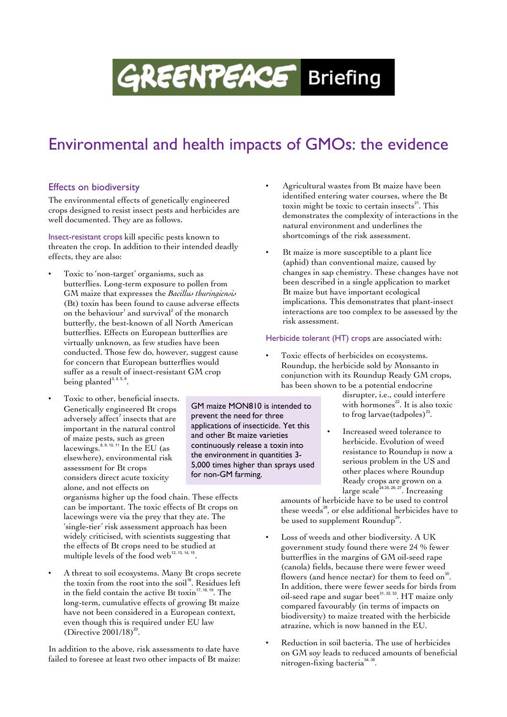# **GREENPEACE** Briefing

# Environmental and health impacts of GMOs: the evidence

GM maize MON810 is intended to

prevent the need for three applications of insecticide. Yet this and other Bt maize varieties continuously release a toxin into the environment in quantities 3- 5,000 times higher than sprays used

for non-GM farming.

## Effects on biodiversity

The environmental effects of genetically engineered crops designed to resist insect pests and herbicides are well documented. They are as follows.

Insect-resistant crops kill specific pests known to threaten the crop. In addition to their intended deadly effects, they are also:

- Toxic to 'non-target' organisms, such as butterflies. Long-term exposure to pollen from GM maize that expresses the *Bacillus thuringiensis* (Bt) toxin has been found to cause adverse effects on the behaviour $^{\rm 1}$  and survival $^{\rm 2}$  of the monarch butterfly, the best-known of all North American butterflies. Effects on European butterflies are virtually unknown, as few studies have been conducted. Those few do, however, suggest cause for concern that European butterflies would suffer as a result of insect-resistant GM crop being planted $3, 4, 5, 6$ .
- Toxic to other, beneficial insects. Genetically engineered Bt crops adversely affect $\vec{\ }$  insects that are important in the natural control of maize pests, such as green lacewings. $8, 9, 10, 11$  In the EU (as elsewhere), environmental risk assessment for Bt crops considers direct acute toxicity alone, and not effects on

organisms higher up the food chain. These effects can be important. The toxic effects of Bt crops on lacewings were via the prey that they ate. The 'single-tier' risk assessment approach has been widely criticised, with scientists suggesting that the effects of Bt crops need to be studied at multiple levels of the food web $^{12, 13, 14, 15}$ .

• A threat to soil ecosystems. Many Bt crops secrete the toxin from the root into the soil<sup>16</sup>. Residues left in the field contain the active Bt toxin<sup>17, 18, 19</sup>. The long-term, cumulative effects of growing Bt maize have not been considered in a European context, even though this is required under EU law (Directive  $2001/18$ )<sup>20</sup>.

In addition to the above, risk assessments to date have failed to foresee at least two other impacts of Bt maize: • Agricultural wastes from Bt maize have been identified entering water courses, where the Bt toxin might be toxic to certain insects<sup>21</sup>. This demonstrates the complexity of interactions in the natural environment and underlines the shortcomings of the risk assessment.

• Bt maize is more susceptible to a plant lice (aphid) than conventional maize, caused by changes in sap chemistry. These changes have not been described in a single application to market Bt maize but have important ecological implications. This demonstrates that plant-insect interactions are too complex to be assessed by the risk assessment.

#### Herbicide tolerant (HT) crops are associated with:

Toxic effects of herbicides on ecosystems. Roundup, the herbicide sold by Monsanto in conjunction with its Roundup Ready GM crops, has been shown to be a potential endocrine

> disrupter, i.e., could interfere with hormones<sup>22</sup>. It is also toxic to frog larvae $(\text{tadpoles})^{23}$ .

• Increased weed tolerance to herbicide. Evolution of weed resistance to Roundup is now a serious problem in the US and other places where Roundup Ready crops are grown on a large scale<sup>24 25, 26, 27</sup>. Increasing

amounts of herbicide have to be used to control these weeds<sup>28</sup>, or else additional herbicides have to be used to supplement Roundup<sup>29</sup>.

- Loss of weeds and other biodiversity. A UK government study found there were 24 % fewer butterflies in the margins of GM oil-seed rape (canola) fields, because there were fewer weed flowers (and hence nectar) for them to feed on $^{\text{30}}$ . In addition, there were fewer seeds for birds from oil-seed rape and sugar beet $^{\scriptscriptstyle 31,\,32,\,33}.$  HT maize only compared favourably (in terms of impacts on biodiversity) to maize treated with the herbicide atrazine, which is now banned in the EU.
- Reduction in soil bacteria. The use of herbicides on GM soy leads to reduced amounts of beneficial nitrogen-fixing bacteria<sup>34, 35</sup>.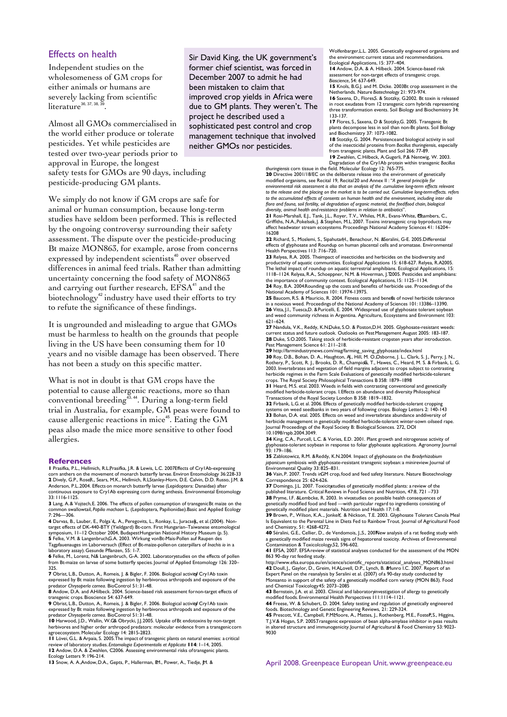#### Effects on health

Independent studies on the wholesomeness of GM crops for either animals or humans are severely lacking from scientific  $literature$ <sup>36, 37, 38, 3</sup> .

Almost all GMOs commercialised in the world either produce or tolerate pesticides. Yet while pesticides are tested over two-year periods prior to approval in Europe, the longest safety tests for GMOs are 90 days, including pesticide-producing GM plants.

We simply do not know if GM crops are safe for animal or human consumption, because long-term studies have seldom been performed. This is reflected by the ongoing controversy surrounding their safety assessment. The dispute over the pesticide-producing Bt maize MON863, for example, arose from concerns expressed by independent scientists<sup>40</sup> over observed differences in animal feed trials. Rather than admitting uncertainty concerning the food safety of MON863 and carrying out further research, EFSA<sup>41</sup> and the biotechnology<sup>42</sup> industry have used their efforts to try to refute the significance of these findings.

It is ungrounded and misleading to argue that GMOs must be harmless to health on the grounds that people living in the US have been consuming them for 10 years and no visible damage has been observed. There has not been a study on this specific matter.

What is not in doubt is that GM crops have the potential to cause allergenic reactions, more so than conventional breeding<sup>43,44</sup>. During a long-term field trial in Australia, for example, GM peas were found to cause allergenic reactions in mice<sup>45</sup>. Eating the GM peas also made the mice more sensitive to other food allergies.

#### **References**

**1** Prasifka, P.L., Hellmich, R.L.Prasifka, J.R. & Lewis, L.C. 2007Effects of Cry1Ab-expressing<br>corn anthers on the movement of monarch butterfly larvae. Environ Entomolology 36:228-33 **2** Dively, G.P., RoseR., Sears, M.K., Hellmich, R.L. Stanley-Horn, D.E. Calvin, D.D. Russo, J.M. & Anderson, P.L.. 2004. Effects on monarch butterfly larvae (Lepidoptera: Danaidae) after continuous exposure to Cry1Ab expressing corn during anthesis. Environmental Entomology 33: 1116-1125.

**3** Lang, A. & Vojtech, E. 2006. The effects of pollen consumption of transgenic Bt maize on the common swallowtail, *Papilio machaon* L. (Lepidoptera, Papilionidae). Basic and Applied Ecology 7: 296—306.

4 Darvas, B., Lauber, E., Polga´rl,. A., Peregovits, L., Ronkay, L., Juracsek, et al. (2004). Non-target effects of DK-440-BTY (Yieldgard) Bt-corn. First Hungarian–Taiwanese entomological<br>symposium, 11–12 October 2004, Bud

laboratory assay). Gesunde Pflanzen, 55: 1-7.

**6** Felke, M., Lorenz, N& Langenbruch, G-A. 2002. Laboratorystudies on the effects of pollen<br>from Bt-maize on larvae of some butterfly species. Journal of Applied Entomology 126: 320– 325.

**7** Obrist, L.B., Dutton, A., Romeis, J. & Bigler, F. 2006. Biological activi**o**f Cry1Ab toxin expressed by Bt maize following ingestion by herbivorous arthropods and exposure of the<br>predator Chrysoperl*a carnea.* BioControl 51: 31-48.<br>**8** Andow, D.A. and A.Hilbeck. 2004. Science-based risk assessment fornon-target

transgenic crops. Bioscience 54: 637-649.

9 Obrist, L.B., Dutton, A., Romeis, J. & Bigler, F. 2006. Biological activityf Cry l Ab toxin<br>expressed by Bt maize following ingestion by herbivorous arthropods and exposure of the<br>predator Chrysoper/a carnea. BioControl

**10** Harwood, J.D., Wallin, W.G. & Obrycki, J.J. 2005. Uptake of Bt endotoxins by non-target herbivores and higher order arthropod predators: molecular evidence from a transgeniccorn<br>agroecosystem. Molecular Ecology 14: 2815-2823.<br>Ⅰ1 Lövei, G.L. & Arpaia, S. 2005.The impact of transgenic plants on natural enemies:

review of laboratory studies. *Entomologia Experimentalis et Applicata* **114**: 1–14, 2005.<br>**12** Andow, D.A. & Zwahlen, C2006. Assessing environmental risks of transgenic plants. Ecology Letters 9: 196-214.

13 Snow, A. A., Andow, D.A., Gepts, P., Hallerman, **E.** M., Power, A., Tiedje, *M. &* 

Sir David King, the UK government's former chief scientist, was forced in December 2007 to admit he had been mistaken to claim that improved crop yields in Africa were due to GM plants. They weren't. The project he described used a sophisticated pest control and crop management technique that involved neither GMOs nor pesticides.

Wolfenbarger,L.L. 2005. Genetically engineered organisms and the environment: current status and recommendations. Ecological Applications, 15: 377–404.

**14** Andow, D.A. & A. Hilbeck. 2004. Science-based risk assessment for non-target effects of transgenic crops. *Bioscience*, 54: 637-649.

**15** Knols, B.G.J. and M. Dicke. 2003Bt crop assessment in the Netherlands. Nature *Biotechnology* 21: 973-974.<br>16 Saxena, D., Flores, & Stotzky, G2002. Bt toxin is released

in root exudates from 12 transgenic corn hybrids representing three transformation events. Soil Biology and Biochemistry 34: 133-137. **17** Flores, S., Saxena, D & Stotzky, G. 2005. Transgenic Bt

plants decompose less in soil than non-Bt plants. Soil Biology and Biochemistry 37: 1073-1082.

**18** Stotzky, G. 2004. Persistence and biological activity in soil of the insecticidal proteins from *Bacillus thuringiensis*, especially from transgenic plants. Plant and Soil 266: 77-89.

19 Zwahlen, C. Hilbeck, A. Gugerli, P.& Nentwig, W. 2003.<br>Degradation of the Cry1Ab protein within transgenic Bacillus<br>thuringiensis corn tissue in the field. Molecular Ecology 12: 765-775.<br>20 Directive 2001/18/EC on the d modified organisms, see Recital 19, Recital 20 and Annex II : "*A general principle for environmental risk assessment is also that an analysis of the .cumulative long-term effects relevant to the release and the placing on the market is to be carried out. Cumulative long-term effects. refers to the accumulated effects of consents on human health and the environment, including inter alia*

flora and fauna, soil fertility, oil degradation of organic material, the feed/food chain, biological<br>diversity, animal health and resistance problems in relation to antibiotics".<br>21 Rosi-Marshall, E.J., Tank, J.L., Royer, 16208

22 Richard, S., Moslemi, S., SipahutarH., Benachour, N. & Seralini, G-E. 2005. Differential

effects of glyphosate and Roundup on human placental cells and aromatase. Environmental<br>Health Perspectives 113: 716–720.<br>23 Relyea, R.A. 2005. Theimpact of insecticides and herbicides on the biodiversity and<br>productivity 1118–1124. Relyea, R.A., Schoeppner, N.M. & Hoverman, J.T. 2005. Pesticides and amphibians:

the importance of community context. Ecological Applications, I5: 1125–1134.<br>**24** Roy, B.A. 2004Rounding up the costs and benefits of herbicide use. Proceedings of the<br>National Academy of Sciences 101: 13974-13975.

**25** Baucom, R.S. & Mauricio, R. 2004. Fitness costs and benefits of novel herbicide tolerance in a noxious weed. Proceedings of the National Academy of Sciences 101: 13386–13390. **26** Vitta, J.I., Tuesca,D. &Puricelli, E. 2004. Widespread use of glyphosate tolerant soybean<br>and weed community richness in Argentina. Agriculture, Ecosystems and Environment 103: 621–624.

27 Nandula, V.K., Reddy, K.N.Duke, S.O. & Poston, D.H. 2005. Glyphosate-resistant w current status and future outlook. Outlooks on Pest Management August 2005: 183-187. **28** Duke, S.O. 2005. Taking stock of herbicide-resistant crops ten years after introduction. Pest Management Science 61: 211-218.

**29** http://farmindustrynews.com/mag/farming\_saving\_glyphosate/index.html

**30** Roy, D.B., Bohan, D. A., Haughton, Ą., Hill, M. O.Osborne, J. L., Clark, S. J., Perry, J. N.,<br>Rothery, P., Scott, R. J., Brooks, D. R., Champio**6,** T., Hawes, C., Heard, M. S. & Firbank, L. G.<br>2003. Invertebrates and herbicide regimes in the Farm Scale Evaluations of genetically modified herbicide-tolerant crops. The Royal Society Philosophical Transactions B*.* 358: 1879–1898

**31** Heard, M.S. etal. 2003. Weeds in fields with contrasting conventional and genetically<br>modified herbicide-tolerant crops. I.Effects on abundance and diversity Philosophical

Transactions of the Royal Society London B 358: 1819–1832.<br>**32** Firbank, L.G.et al. 2006. Effects of genetically modified herbicide-tolerant cropping<br>systems on weed seedbanks in two years of following crops. Biology Lette **33** Bohan, D.A. etal. 2005. Effects on weed and invertebrate abundance and diversity of herbicide management in genetically modified herbicide-tolerant winter-sown oilseed rape. Journal Proceedings of the Royal Society B: Biological Sciences. 272, DOI 10.1098/rspb.2004.3049.

**34** King, C.A., Purcell, L.C. & Vories, E.D. 2001. Plant growth and nitrogenase activity of glyphosate-tolerant soybean in response to foliar glyphosate applications. Agronomy Journal 93: 179–186.

**35** Zablotowicz, R.M. & Reddy, K.N. 2004. Impact of glyphosate on the *Bradyrhizobium japonicum* symbiosis with glyphosate-resistant transgenic soybean: a minireview. Journal of Environmental Quality 33: 825–831.

36 Vain, P. 2007. Trends in GM crop, food and feed safety literature. Nature Biotechnology Correspondence 25: 624-626.

**37** Domingo, J.L. 2007. Toxicitystudies of genetically modified plants: a review of the<br>published literature. Critical Reviews in Food Science and Nutrition, 47:8, 721 –733<br>**38** Pryme, I.F. &Lembcke, R. 2003. In vivostudi genetically modified food and feed —with particular regard to ingredients consisting of genetically modified plant materials. Nutrition and Health 17: 1-8.

**39** Brown, P., Wilson, K.A.., JonkeiY.. & Nickson, T.E. 2003. Glyphosate Tolerant Canola Meal<br>Is Equivalent to the Parental Line in Diets Fed to Rainbow Trout. Journal of Agricultural Food and Chemistry, 51: 4268-4272.

40 Séralini, G.E., Cellier, D., de Vendomois, J.,S., 200<sub>New analysis of a rat feeding study with</sub> a genetically modified maize reveals signs of hepatorenal toxicity. Archives of Environmental Contamination & Toxicolcology, 52, 596-602.

**41** EFSA, 2007. EFSA review of statistical analyses conducted for the assessment of the MON 863 90-day rat feeding study.

http://www.efsa.europa.eu/en/science/scientific\_reports/statistical\_analyses\_MON863.html<br>**42** Doull, J., Gaylor, D., Greim, H.ALovell, D.P., Lynch, B. & lunro I.C. 2007. Report of an<br>Expert Panel on the reanalysis by Seral

**43** Bernstein, J.A. et al. 2003. Clinical and laboratoryinvestigation of allergy to genetically<br>modified foods. Environmental Health Perspectives 111:1114–1121.

**44** Freese, W. & Schubert, D. 2004. Safety testing and regulation of genetically engineered<br>foods. Biotechnology and Genetic Engineering Reviews, 21: 229-324.<br>**45** Prescott, V.E., Campbell, P.M!Noore, A., Mattes, J., Roth

in altered structure and immunogenicity.Journal of Agricultural & Food Chemistry 53: 9023- 9030

April 2008. Greenpeace European Unit. www.greenpeace.eu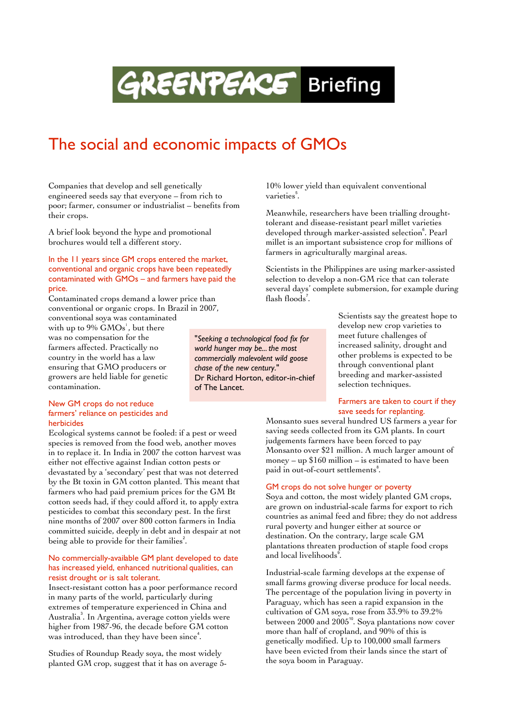# **GREENPEACE** Briefing

"*Seeking a technological food fix for world hunger may be... the most commercially malevolent wild goose*

Dr Richard Horton, editor-in-chief

*chase of the new century*."

of The Lancet.

## The social and economic impacts of GMOs

Companies that develop and sell genetically engineered seeds say that everyone – from rich to poor; farmer, consumer or industrialist – benefits from their crops.

A brief look beyond the hype and promotional brochures would tell a different story.

#### In the 11 years since GM crops entered the market, conventional and organic crops have been repeatedly contaminated with GMOs – and farmers have paid the price.

Contaminated crops demand a lower price than conventional or organic crops. In Brazil in 2007,

conventional soya was contaminated with up to 9%  $\mathrm{GMOs}^{\text{!`}}$  , but there was no compensation for the farmers affected. Practically no country in the world has a law ensuring that GMO producers or growers are held liable for genetic contamination.

#### New GM crops do not reduce farmers' reliance on pesticides and herbicides

Ecological systems cannot be fooled: if a pest or weed species is removed from the food web, another moves in to replace it. In India in 2007 the cotton harvest was either not effective against Indian cotton pests or devastated by a 'secondary' pest that was not deterred by the Bt toxin in GM cotton planted. This meant that farmers who had paid premium prices for the GM Bt cotton seeds had, if they could afford it, to apply extra pesticides to combat this secondary pest. In the first nine months of 2007 over 800 cotton farmers in India committed suicide, deeply in debt and in despair at not being able to provide for their families<sup>2</sup>.

#### No commercially-available GM plant developed to date has increased yield, enhanced nutritional qualities, can resist drought or is salt tolerant.

Insect-resistant cotton has a poor performance record in many parts of the world, particularly during extremes of temperature experienced in China and Australia<sup>3</sup> . In Argentina, average cotton yields were higher from 1987-96, the decade before GM cotton was introduced, than they have been since<sup>4</sup>.

Studies of Roundup Ready soya, the most widely planted GM crop, suggest that it has on average 510% lower yield than equivalent conventional varieties<sup>5</sup>.

Meanwhile, researchers have been trialling droughttolerant and disease-resistant pearl millet varieties developed through marker-assisted selection<sup>6</sup>. Pearl millet is an important subsistence crop for millions of farmers in agriculturally marginal areas.

Scientists in the Philippines are using marker-assisted selection to develop a non-GM rice that can tolerate several days' complete submersion, for example during flash floods<sup>7</sup>.

> Scientists say the greatest hope to develop new crop varieties to meet future challenges of increased salinity, drought and other problems is expected to be through conventional plant breeding and marker-assisted selection techniques.

#### Farmers are taken to court if they save seeds for replanting.

Monsanto sues several hundred US farmers a year for saving seeds collected from its GM plants. In court judgements farmers have been forced to pay Monsanto over \$21 million. A much larger amount of money – up \$160 million – is estimated to have been paid in out-of-court settlements<sup>8</sup>.

#### GM crops do not solve hunger or poverty

Soya and cotton, the most widely planted GM crops, are grown on industrial-scale farms for export to rich countries as animal feed and fibre; they do not address rural poverty and hunger either at source or destination. On the contrary, large scale GM plantations threaten production of staple food crops and local livelihoods<sup>9</sup>.

Industrial-scale farming develops at the expense of small farms growing diverse produce for local needs. The percentage of the population living in poverty in Paraguay, which has seen a rapid expansion in the cultivation of GM soya, rose from 33.9% to 39.2% between  $2000$  and  $2005^{\text{10}}$ . Soya plantations now cover more than half of cropland, and 90% of this is genetically modified. Up to 100,000 small farmers have been evicted from their lands since the start of the soya boom in Paraguay.